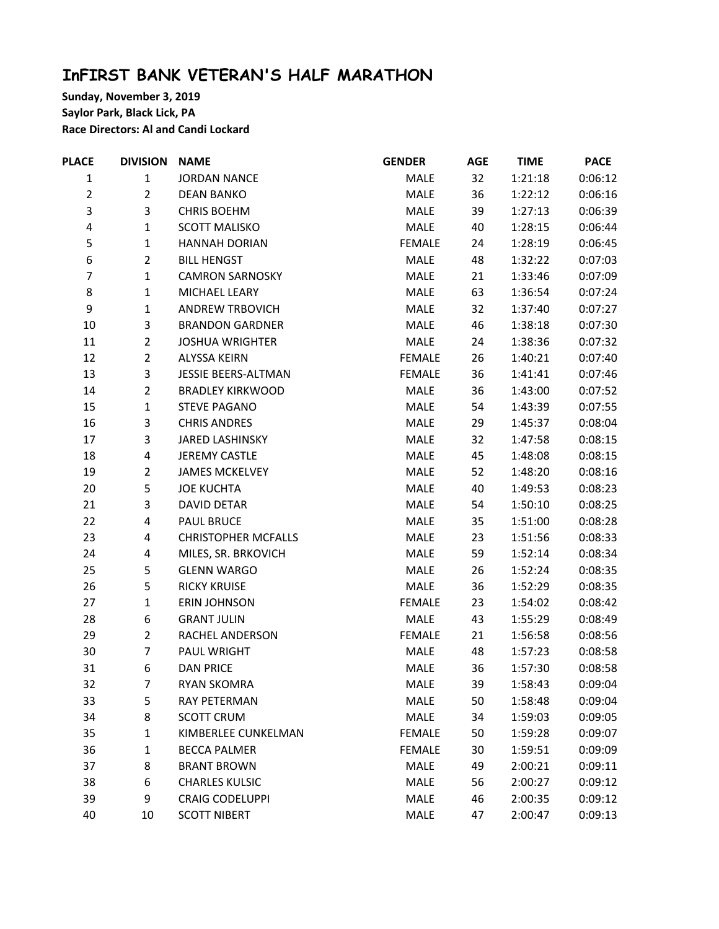## **InFIRST BANK VETERAN'S HALF MARATHON**

**Sunday, November 3, 2019 Saylor Park, Black Lick, PA Race Directors: Al and Candi Lockard**

| <b>PLACE</b>   | <b>DIVISION</b>         | <b>NAME</b>                | <b>GENDER</b> | <b>AGE</b> | <b>TIME</b> | <b>PACE</b> |
|----------------|-------------------------|----------------------------|---------------|------------|-------------|-------------|
| $\mathbf{1}$   | $\mathbf{1}$            | <b>JORDAN NANCE</b>        | MALE          | 32         | 1:21:18     | 0:06:12     |
| $\overline{2}$ | $\overline{2}$          | <b>DEAN BANKO</b>          | MALE          | 36         | 1:22:12     | 0:06:16     |
| 3              | 3                       | <b>CHRIS BOEHM</b>         | MALE          | 39         | 1:27:13     | 0:06:39     |
| 4              | $\mathbf{1}$            | <b>SCOTT MALISKO</b>       | MALE          | 40         | 1:28:15     | 0:06:44     |
| 5              | $\mathbf 1$             | <b>HANNAH DORIAN</b>       | <b>FEMALE</b> | 24         | 1:28:19     | 0:06:45     |
| 6              | $\overline{2}$          | <b>BILL HENGST</b>         | MALE          | 48         | 1:32:22     | 0:07:03     |
| $\overline{7}$ | $\mathbf 1$             | <b>CAMRON SARNOSKY</b>     | MALE          | 21         | 1:33:46     | 0:07:09     |
| 8              | $\mathbf 1$             | MICHAEL LEARY              | MALE          | 63         | 1:36:54     | 0:07:24     |
| 9              | $\mathbf 1$             | <b>ANDREW TRBOVICH</b>     | MALE          | 32         | 1:37:40     | 0:07:27     |
| $10\,$         | 3                       | <b>BRANDON GARDNER</b>     | MALE          | 46         | 1:38:18     | 0:07:30     |
| 11             | $\overline{2}$          | <b>JOSHUA WRIGHTER</b>     | MALE          | 24         | 1:38:36     | 0:07:32     |
| 12             | $\overline{2}$          | <b>ALYSSA KEIRN</b>        | <b>FEMALE</b> | 26         | 1:40:21     | 0:07:40     |
| 13             | 3                       | <b>JESSIE BEERS-ALTMAN</b> | <b>FEMALE</b> | 36         | 1:41:41     | 0:07:46     |
| 14             | $\overline{2}$          | <b>BRADLEY KIRKWOOD</b>    | MALE          | 36         | 1:43:00     | 0:07:52     |
| 15             | $\mathbf{1}$            | <b>STEVE PAGANO</b>        | MALE          | 54         | 1:43:39     | 0:07:55     |
| 16             | 3                       | <b>CHRIS ANDRES</b>        | MALE          | 29         | 1:45:37     | 0:08:04     |
| 17             | 3                       | <b>JARED LASHINSKY</b>     | MALE          | 32         | 1:47:58     | 0:08:15     |
| 18             | $\pmb{4}$               | <b>JEREMY CASTLE</b>       | MALE          | 45         | 1:48:08     | 0:08:15     |
| 19             | $\mathbf 2$             | <b>JAMES MCKELVEY</b>      | MALE          | 52         | 1:48:20     | 0:08:16     |
| 20             | 5                       | <b>JOE KUCHTA</b>          | MALE          | 40         | 1:49:53     | 0:08:23     |
| 21             | 3                       | <b>DAVID DETAR</b>         | MALE          | 54         | 1:50:10     | 0:08:25     |
| 22             | $\pmb{4}$               | <b>PAUL BRUCE</b>          | MALE          | 35         | 1:51:00     | 0:08:28     |
| 23             | $\overline{\mathbf{4}}$ | <b>CHRISTOPHER MCFALLS</b> | MALE          | 23         | 1:51:56     | 0:08:33     |
| 24             | 4                       | MILES, SR. BRKOVICH        | MALE          | 59         | 1:52:14     | 0:08:34     |
| 25             | 5                       | <b>GLENN WARGO</b>         | MALE          | 26         | 1:52:24     | 0:08:35     |
| 26             | 5                       | <b>RICKY KRUISE</b>        | MALE          | 36         | 1:52:29     | 0:08:35     |
| 27             | $\mathbf{1}$            | <b>ERIN JOHNSON</b>        | <b>FEMALE</b> | 23         | 1:54:02     | 0:08:42     |
| 28             | 6                       | <b>GRANT JULIN</b>         | MALE          | 43         | 1:55:29     | 0:08:49     |
| 29             | $\overline{2}$          | RACHEL ANDERSON            | <b>FEMALE</b> | 21         | 1:56:58     | 0:08:56     |
| 30             | $\overline{7}$          | PAUL WRIGHT                | MALE          | 48         | 1:57:23     | 0:08:58     |
| 31             | 6                       | <b>DAN PRICE</b>           | MALE          | 36         | 1:57:30     | 0:08:58     |
| 32             | $\overline{7}$          | <b>RYAN SKOMRA</b>         | MALE          | 39         | 1:58:43     | 0:09:04     |
| 33             | 5                       | RAY PETERMAN               | MALE          | 50         | 1:58:48     | 0:09:04     |
| 34             | 8                       | <b>SCOTT CRUM</b>          | MALE          | 34         | 1:59:03     | 0:09:05     |
| 35             | $\mathbf 1$             | KIMBERLEE CUNKELMAN        | <b>FEMALE</b> | 50         | 1:59:28     | 0:09:07     |
| 36             | $\mathbf 1$             | <b>BECCA PALMER</b>        | <b>FEMALE</b> | 30         | 1:59:51     | 0:09:09     |
| 37             | 8                       | <b>BRANT BROWN</b>         | MALE          | 49         | 2:00:21     | 0:09:11     |
| 38             | 6                       | <b>CHARLES KULSIC</b>      | MALE          | 56         | 2:00:27     | 0:09:12     |
| 39             | 9                       | <b>CRAIG CODELUPPI</b>     | MALE          | 46         | 2:00:35     | 0:09:12     |
| 40             | 10                      | <b>SCOTT NIBERT</b>        | MALE          | 47         | 2:00:47     | 0:09:13     |
|                |                         |                            |               |            |             |             |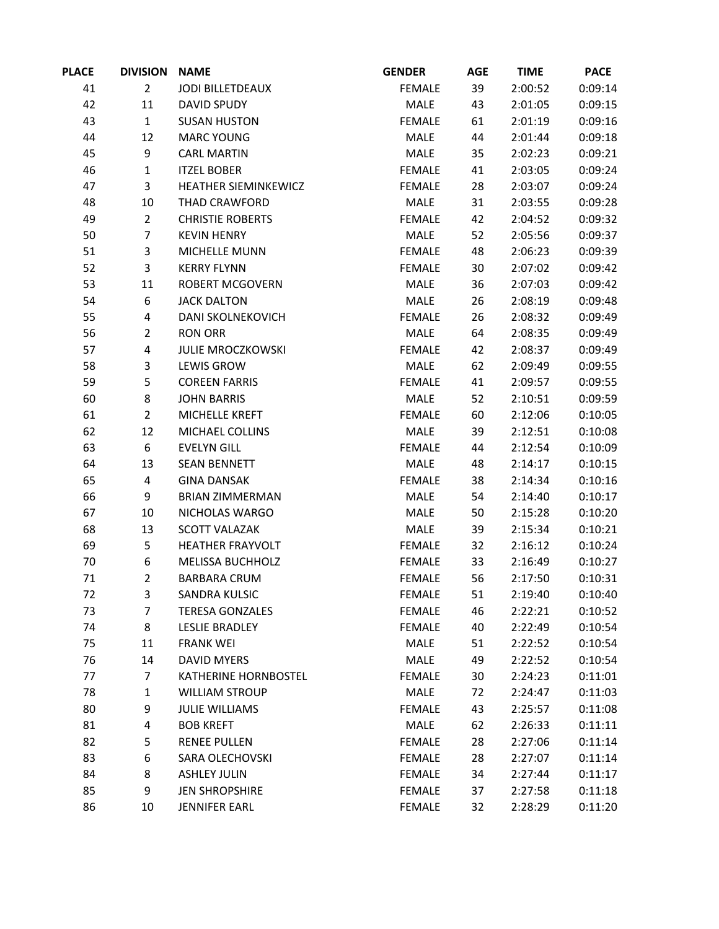| <b>PLACE</b> | <b>DIVISION</b> | <b>NAME</b>              | <b>GENDER</b> | <b>AGE</b> | <b>TIME</b> | <b>PACE</b> |
|--------------|-----------------|--------------------------|---------------|------------|-------------|-------------|
| 41           | $\overline{2}$  | <b>JODI BILLETDEAUX</b>  | <b>FEMALE</b> | 39         | 2:00:52     | 0:09:14     |
| 42           | 11              | <b>DAVID SPUDY</b>       | MALE          | 43         | 2:01:05     | 0:09:15     |
| 43           | $\mathbf{1}$    | <b>SUSAN HUSTON</b>      | <b>FEMALE</b> | 61         | 2:01:19     | 0:09:16     |
| 44           | 12              | <b>MARC YOUNG</b>        | MALE          | 44         | 2:01:44     | 0:09:18     |
| 45           | 9               | <b>CARL MARTIN</b>       | MALE          | 35         | 2:02:23     | 0:09:21     |
| 46           | $\mathbf{1}$    | <b>ITZEL BOBER</b>       | <b>FEMALE</b> | 41         | 2:03:05     | 0:09:24     |
| 47           | 3               | HEATHER SIEMINKEWICZ     | <b>FEMALE</b> | 28         | 2:03:07     | 0:09:24     |
| 48           | 10              | THAD CRAWFORD            | MALE          | 31         | 2:03:55     | 0:09:28     |
| 49           | $\overline{2}$  | <b>CHRISTIE ROBERTS</b>  | <b>FEMALE</b> | 42         | 2:04:52     | 0:09:32     |
| 50           | 7               | <b>KEVIN HENRY</b>       | <b>MALE</b>   | 52         | 2:05:56     | 0:09:37     |
| 51           | 3               | MICHELLE MUNN            | <b>FEMALE</b> | 48         | 2:06:23     | 0:09:39     |
| 52           | 3               | <b>KERRY FLYNN</b>       | <b>FEMALE</b> | 30         | 2:07:02     | 0:09:42     |
| 53           | 11              | <b>ROBERT MCGOVERN</b>   | MALE          | 36         | 2:07:03     | 0:09:42     |
| 54           | 6               | <b>JACK DALTON</b>       | MALE          | 26         | 2:08:19     | 0:09:48     |
| 55           | 4               | DANI SKOLNEKOVICH        | <b>FEMALE</b> | 26         | 2:08:32     | 0:09:49     |
| 56           | $\overline{2}$  | <b>RON ORR</b>           | MALE          | 64         | 2:08:35     | 0:09:49     |
| 57           | 4               | <b>JULIE MROCZKOWSKI</b> | <b>FEMALE</b> | 42         | 2:08:37     | 0:09:49     |
| 58           | 3               | <b>LEWIS GROW</b>        | MALE          | 62         | 2:09:49     | 0:09:55     |
| 59           | 5               | <b>COREEN FARRIS</b>     | <b>FEMALE</b> | 41         | 2:09:57     | 0:09:55     |
| 60           | 8               | <b>JOHN BARRIS</b>       | <b>MALE</b>   | 52         | 2:10:51     | 0:09:59     |
| 61           | $\overline{2}$  | MICHELLE KREFT           | <b>FEMALE</b> | 60         | 2:12:06     | 0:10:05     |
| 62           | 12              | MICHAEL COLLINS          | MALE          | 39         | 2:12:51     | 0:10:08     |
| 63           | 6               | <b>EVELYN GILL</b>       | <b>FEMALE</b> | 44         | 2:12:54     | 0:10:09     |
| 64           | 13              | <b>SEAN BENNETT</b>      | MALE          | 48         | 2:14:17     | 0:10:15     |
| 65           | 4               | <b>GINA DANSAK</b>       | <b>FEMALE</b> | 38         | 2:14:34     | 0:10:16     |
| 66           | 9               | <b>BRIAN ZIMMERMAN</b>   | MALE          | 54         | 2:14:40     | 0:10:17     |
| 67           | 10              | NICHOLAS WARGO           | MALE          | 50         | 2:15:28     | 0:10:20     |
| 68           | 13              | <b>SCOTT VALAZAK</b>     | MALE          | 39         | 2:15:34     | 0:10:21     |
| 69           | 5               | <b>HEATHER FRAYVOLT</b>  | <b>FEMALE</b> | 32         | 2:16:12     | 0:10:24     |
| 70           | 6               | <b>MELISSA BUCHHOLZ</b>  | <b>FEMALE</b> | 33         | 2:16:49     | 0:10:27     |
| 71           | $\overline{2}$  | <b>BARBARA CRUM</b>      | <b>FEMALE</b> | 56         | 2:17:50     | 0:10:31     |
| 72           | 3               | SANDRA KULSIC            | FEMALE        | 51         | 2:19:40     | 0:10:40     |
| 73           | 7               | <b>TERESA GONZALES</b>   | <b>FEMALE</b> | 46         | 2:22:21     | 0:10:52     |
| 74           | 8               | <b>LESLIE BRADLEY</b>    | <b>FEMALE</b> | 40         | 2:22:49     | 0:10:54     |
| 75           | 11              | <b>FRANK WEI</b>         | MALE          | 51         | 2:22:52     | 0:10:54     |
| 76           | 14              | <b>DAVID MYERS</b>       | MALE          | 49         | 2:22:52     | 0:10:54     |
| 77           | 7               | KATHERINE HORNBOSTEL     | <b>FEMALE</b> | 30         | 2:24:23     | 0:11:01     |
| 78           | 1               | <b>WILLIAM STROUP</b>    | MALE          | 72         | 2:24:47     | 0:11:03     |
| 80           | 9               | <b>JULIE WILLIAMS</b>    | <b>FEMALE</b> | 43         | 2:25:57     | 0:11:08     |
| 81           | 4               | <b>BOB KREFT</b>         | MALE          | 62         | 2:26:33     | 0:11:11     |
| 82           | 5               | <b>RENEE PULLEN</b>      | <b>FEMALE</b> | 28         | 2:27:06     | 0:11:14     |
| 83           | 6               | SARA OLECHOVSKI          | <b>FEMALE</b> | 28         | 2:27:07     | 0:11:14     |
| 84           | 8               | <b>ASHLEY JULIN</b>      | <b>FEMALE</b> | 34         | 2:27:44     | 0:11:17     |
| 85           | 9               | <b>JEN SHROPSHIRE</b>    | <b>FEMALE</b> | 37         | 2:27:58     | 0:11:18     |
| 86           | 10              | <b>JENNIFER EARL</b>     | <b>FEMALE</b> | 32         | 2:28:29     | 0:11:20     |
|              |                 |                          |               |            |             |             |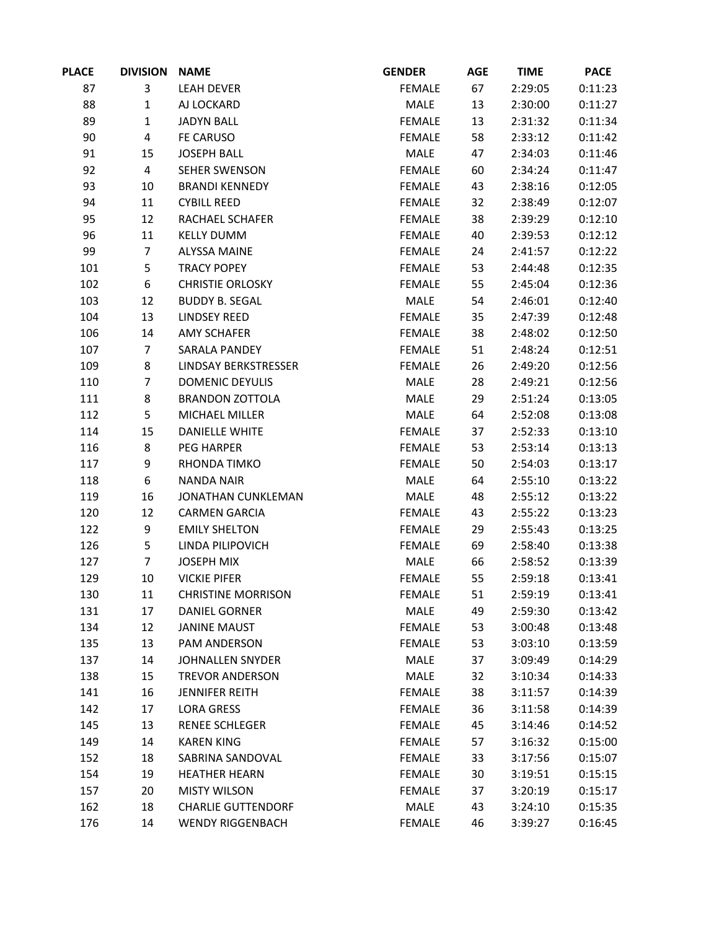| <b>PLACE</b> | <b>DIVISION</b>         | <b>NAME</b>               | <b>GENDER</b> | <b>AGE</b> | <b>TIME</b> | <b>PACE</b> |
|--------------|-------------------------|---------------------------|---------------|------------|-------------|-------------|
| 87           | 3                       | <b>LEAH DEVER</b>         | <b>FEMALE</b> | 67         | 2:29:05     | 0:11:23     |
| 88           | $\mathbf{1}$            | AJ LOCKARD                | MALE          | 13         | 2:30:00     | 0:11:27     |
| 89           | $\mathbf 1$             | <b>JADYN BALL</b>         | <b>FEMALE</b> | 13         | 2:31:32     | 0:11:34     |
| 90           | $\overline{\mathbf{4}}$ | FE CARUSO                 | <b>FEMALE</b> | 58         | 2:33:12     | 0:11:42     |
| 91           | 15                      | <b>JOSEPH BALL</b>        | MALE          | 47         | 2:34:03     | 0:11:46     |
| 92           | $\overline{\mathbf{4}}$ | SEHER SWENSON             | <b>FEMALE</b> | 60         | 2:34:24     | 0:11:47     |
| 93           | 10                      | <b>BRANDI KENNEDY</b>     | <b>FEMALE</b> | 43         | 2:38:16     | 0:12:05     |
| 94           | 11                      | <b>CYBILL REED</b>        | <b>FEMALE</b> | 32         | 2:38:49     | 0:12:07     |
| 95           | 12                      | RACHAEL SCHAFER           | <b>FEMALE</b> | 38         | 2:39:29     | 0:12:10     |
| 96           | 11                      | <b>KELLY DUMM</b>         | <b>FEMALE</b> | 40         | 2:39:53     | 0:12:12     |
| 99           | $\overline{7}$          | <b>ALYSSA MAINE</b>       | <b>FEMALE</b> | 24         | 2:41:57     | 0:12:22     |
| 101          | 5                       | <b>TRACY POPEY</b>        | <b>FEMALE</b> | 53         | 2:44:48     | 0:12:35     |
| 102          | 6                       | <b>CHRISTIE ORLOSKY</b>   | <b>FEMALE</b> | 55         | 2:45:04     | 0:12:36     |
| 103          | 12                      | <b>BUDDY B. SEGAL</b>     | MALE          | 54         | 2:46:01     | 0:12:40     |
| 104          | 13                      | <b>LINDSEY REED</b>       | <b>FEMALE</b> | 35         | 2:47:39     | 0:12:48     |
| 106          | 14                      | <b>AMY SCHAFER</b>        | <b>FEMALE</b> | 38         | 2:48:02     | 0:12:50     |
| 107          | $\overline{7}$          | SARALA PANDEY             | <b>FEMALE</b> | 51         | 2:48:24     | 0:12:51     |
| 109          | 8                       | LINDSAY BERKSTRESSER      | <b>FEMALE</b> | 26         | 2:49:20     | 0:12:56     |
| 110          | $\overline{7}$          | <b>DOMENIC DEYULIS</b>    | MALE          | 28         | 2:49:21     | 0:12:56     |
| 111          | 8                       | <b>BRANDON ZOTTOLA</b>    | MALE          | 29         | 2:51:24     | 0:13:05     |
| 112          | 5                       | MICHAEL MILLER            | MALE          | 64         | 2:52:08     | 0:13:08     |
| 114          | 15                      | <b>DANIELLE WHITE</b>     | <b>FEMALE</b> | 37         | 2:52:33     | 0:13:10     |
| 116          | 8                       | <b>PEG HARPER</b>         | <b>FEMALE</b> | 53         | 2:53:14     | 0:13:13     |
| 117          | 9                       | RHONDA TIMKO              | <b>FEMALE</b> | 50         | 2:54:03     | 0:13:17     |
| 118          | $\boldsymbol{6}$        | <b>NANDA NAIR</b>         | MALE          | 64         | 2:55:10     | 0:13:22     |
| 119          | 16                      | JONATHAN CUNKLEMAN        | MALE          | 48         | 2:55:12     | 0:13:22     |
| 120          | 12                      | <b>CARMEN GARCIA</b>      | <b>FEMALE</b> | 43         | 2:55:22     | 0:13:23     |
| 122          | 9                       | <b>EMILY SHELTON</b>      | <b>FEMALE</b> | 29         | 2:55:43     | 0:13:25     |
| 126          | 5                       | LINDA PILIPOVICH          | <b>FEMALE</b> | 69         | 2:58:40     | 0:13:38     |
| 127          | $\overline{7}$          | <b>JOSEPH MIX</b>         | MALE          | 66         | 2:58:52     | 0:13:39     |
| 129          | 10                      | <b>VICKIE PIFER</b>       | <b>FEMALE</b> | 55         | 2:59:18     | 0:13:41     |
| 130          | 11                      | <b>CHRISTINE MORRISON</b> | FEMALE        | 51         | 2:59:19     | 0:13:41     |
| 131          | 17                      | DANIEL GORNER             | MALE          | 49         | 2:59:30     | 0:13:42     |
| 134          | 12                      | <b>JANINE MAUST</b>       | <b>FEMALE</b> | 53         | 3:00:48     | 0:13:48     |
| 135          | 13                      | PAM ANDERSON              | <b>FEMALE</b> | 53         | 3:03:10     | 0:13:59     |
| 137          | 14                      | JOHNALLEN SNYDER          | MALE          | 37         | 3:09:49     | 0:14:29     |
| 138          | 15                      | <b>TREVOR ANDERSON</b>    | MALE          | 32         | 3:10:34     | 0:14:33     |
| 141          | 16                      | <b>JENNIFER REITH</b>     | <b>FEMALE</b> | 38         | 3:11:57     | 0:14:39     |
| 142          | 17                      | <b>LORA GRESS</b>         | <b>FEMALE</b> | 36         | 3:11:58     | 0:14:39     |
| 145          | 13                      | <b>RENEE SCHLEGER</b>     | <b>FEMALE</b> | 45         | 3:14:46     | 0:14:52     |
| 149          | 14                      | <b>KAREN KING</b>         | <b>FEMALE</b> | 57         | 3:16:32     | 0:15:00     |
| 152          | 18                      | SABRINA SANDOVAL          | <b>FEMALE</b> | 33         | 3:17:56     | 0:15:07     |
| 154          | 19                      | <b>HEATHER HEARN</b>      | <b>FEMALE</b> | 30         | 3:19:51     | 0:15:15     |
| 157          | 20                      | <b>MISTY WILSON</b>       | <b>FEMALE</b> | 37         | 3:20:19     | 0:15:17     |
| 162          | 18                      | <b>CHARLIE GUTTENDORF</b> | MALE          | 43         | 3:24:10     | 0:15:35     |
| 176          | 14                      | <b>WENDY RIGGENBACH</b>   | <b>FEMALE</b> | 46         | 3:39:27     | 0:16:45     |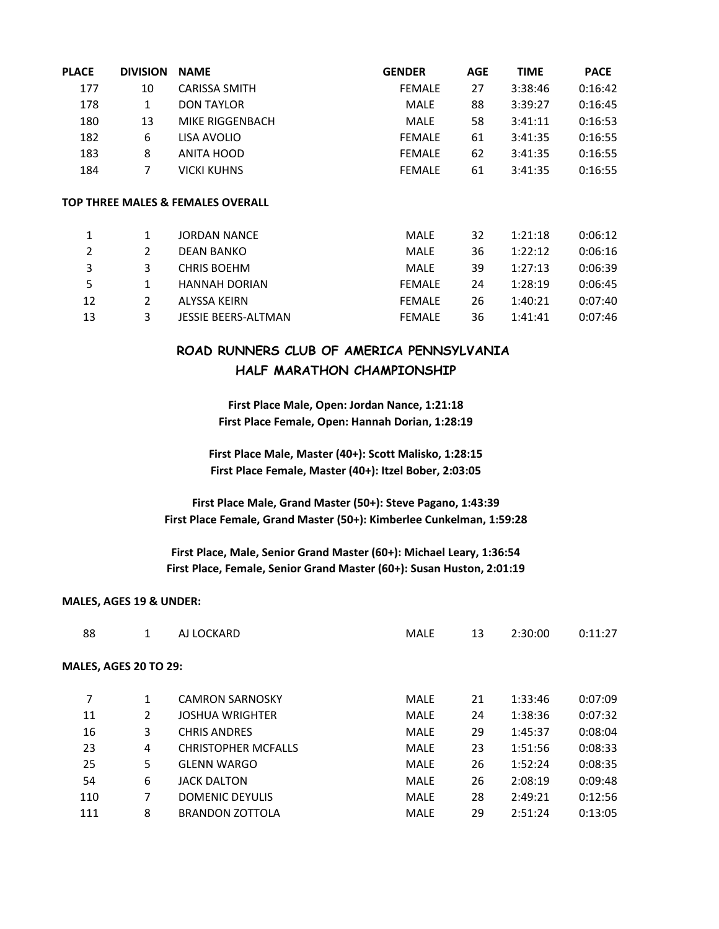| <b>PLACE</b> | <b>DIVISION</b> | <b>NAME</b>                       | <b>GENDER</b> | <b>AGE</b> | <b>TIME</b> | <b>PACE</b> |
|--------------|-----------------|-----------------------------------|---------------|------------|-------------|-------------|
| 177          | 10              | <b>CARISSA SMITH</b>              | <b>FEMALE</b> | 27         | 3:38:46     | 0:16:42     |
| 178          | 1               | <b>DON TAYLOR</b>                 | MALE          | 88         | 3:39:27     | 0:16:45     |
| 180          | 13              | MIKE RIGGENBACH                   | <b>MALE</b>   | 58         | 3:41:11     | 0:16:53     |
| 182          | 6               | LISA AVOLIO                       | <b>FEMALE</b> | 61         | 3:41:35     | 0:16:55     |
| 183          | 8               | ANITA HOOD                        | <b>FEMALE</b> | 62         | 3:41:35     | 0:16:55     |
| 184          | 7               | <b>VICKI KUHNS</b>                | <b>FEMALE</b> | 61         | 3:41:35     | 0:16:55     |
|              |                 | TOP THREE MALES & FEMALES OVERALL |               |            |             |             |
| 1            | 1               | <b>JORDAN NANCE</b>               | <b>MALE</b>   |            |             |             |
|              |                 |                                   |               | 32         | 1:21:18     | 0:06:12     |
| 2            | 2               | DEAN BANKO                        | <b>MALE</b>   | 36         | 1:22:12     | 0:06:16     |
| 3            | 3               | <b>CHRIS BOEHM</b>                | <b>MALE</b>   | 39         | 1:27:13     | 0:06:39     |
| 5            | 1               | <b>HANNAH DORIAN</b>              | <b>FEMALE</b> | 24         | 1:28:19     | 0:06:45     |
| 12           | 2               | ALYSSA KEIRN                      | <b>FEMALE</b> | 26         | 1:40:21     | 0:07:40     |
| 13           | 3               | <b>JESSIE BEERS-ALTMAN</b>        | <b>FEMALE</b> | 36         | 1:41:41     | 0:07:46     |

## **ROAD RUNNERS CLUB OF AMERICA PENNSYLVANIA HALF MARATHON CHAMPIONSHIP**

**First Place Male, Open: Jordan Nance, 1:21:18 First Place Female, Open: Hannah Dorian, 1:28:19**

**First Place Male, Master (40+): Scott Malisko, 1:28:15 First Place Female, Master (40+): Itzel Bober, 2:03:05**

**First Place Male, Grand Master (50+): Steve Pagano, 1:43:39 First Place Female, Grand Master (50+): Kimberlee Cunkelman, 1:59:28**

**First Place, Male, Senior Grand Master (60+): Michael Leary, 1:36:54 First Place, Female, Senior Grand Master (60+): Susan Huston, 2:01:19**

## **MALES, AGES 19 & UNDER:**

| 88                           | 1            | AJ LOCKARD                 | <b>MALE</b> | 13 | 2:30:00 | 0:11:27 |
|------------------------------|--------------|----------------------------|-------------|----|---------|---------|
| <b>MALES, AGES 20 TO 29:</b> |              |                            |             |    |         |         |
| 7                            | $\mathbf{1}$ | <b>CAMRON SARNOSKY</b>     | MALE        | 21 | 1:33:46 | 0:07:09 |
| 11                           | 2            | <b>JOSHUA WRIGHTER</b>     | MALE        | 24 | 1:38:36 | 0:07:32 |
| 16                           | 3            | <b>CHRIS ANDRES</b>        | MALE        | 29 | 1:45:37 | 0:08:04 |
| 23                           | 4            | <b>CHRISTOPHER MCFALLS</b> | MALE        | 23 | 1:51:56 | 0:08:33 |
| 25                           | 5            | <b>GLENN WARGO</b>         | MALE        | 26 | 1:52:24 | 0:08:35 |
| 54                           | 6            | <b>JACK DALTON</b>         | MALE        | 26 | 2:08:19 | 0:09:48 |
| 110                          | 7            | <b>DOMENIC DEYULIS</b>     | MALE        | 28 | 2:49:21 | 0:12:56 |
| 111                          | 8            | <b>BRANDON ZOTTOLA</b>     | <b>MALE</b> | 29 | 2:51:24 | 0:13:05 |
|                              |              |                            |             |    |         |         |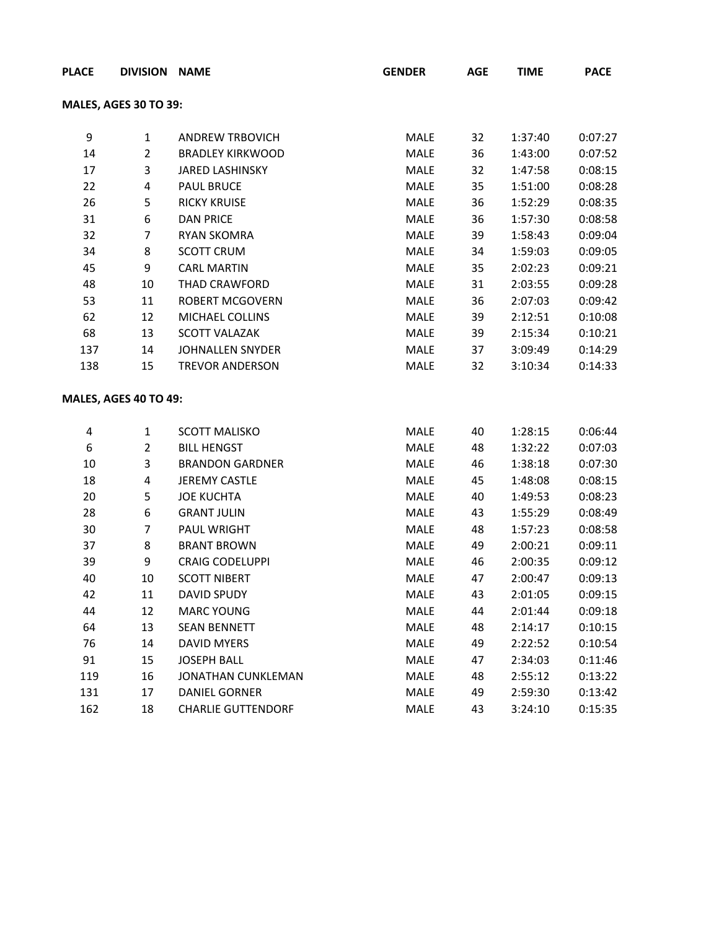| <b>PLACE</b> | <b>DIVISION NAME</b>         |                           | <b>GENDER</b> | <b>AGE</b> | <b>TIME</b> | <b>PACE</b> |
|--------------|------------------------------|---------------------------|---------------|------------|-------------|-------------|
|              | <b>MALES, AGES 30 TO 39:</b> |                           |               |            |             |             |
| 9            | $\mathbf{1}$                 | <b>ANDREW TRBOVICH</b>    | MALE          | 32         | 1:37:40     | 0:07:27     |
| 14           | $\overline{2}$               | <b>BRADLEY KIRKWOOD</b>   | MALE          | 36         | 1:43:00     | 0:07:52     |
| 17           | 3                            | <b>JARED LASHINSKY</b>    | MALE          | 32         | 1:47:58     | 0:08:15     |
| 22           | 4                            | <b>PAUL BRUCE</b>         | MALE          | 35         | 1:51:00     | 0:08:28     |
| 26           | 5                            | <b>RICKY KRUISE</b>       | MALE          | 36         | 1:52:29     | 0:08:35     |
| 31           | $\boldsymbol{6}$             | <b>DAN PRICE</b>          | MALE          | 36         | 1:57:30     | 0:08:58     |
| 32           | 7                            | <b>RYAN SKOMRA</b>        | MALE          | 39         | 1:58:43     | 0:09:04     |
| 34           | 8                            | <b>SCOTT CRUM</b>         | MALE          | 34         | 1:59:03     | 0:09:05     |
| 45           | 9                            | <b>CARL MARTIN</b>        | MALE          | 35         | 2:02:23     | 0:09:21     |
| 48           | 10                           | THAD CRAWFORD             | MALE          | 31         | 2:03:55     | 0:09:28     |
| 53           | 11                           | <b>ROBERT MCGOVERN</b>    | MALE          | 36         | 2:07:03     | 0:09:42     |
| 62           | 12                           | MICHAEL COLLINS           | MALE          | 39         | 2:12:51     | 0:10:08     |
| 68           | 13                           | <b>SCOTT VALAZAK</b>      | MALE          | 39         | 2:15:34     | 0:10:21     |
| 137          | 14                           | JOHNALLEN SNYDER          | MALE          | 37         | 3:09:49     | 0:14:29     |
| 138          | 15                           | <b>TREVOR ANDERSON</b>    | MALE          | 32         | 3:10:34     | 0:14:33     |
|              | MALES, AGES 40 TO 49:        |                           |               |            |             |             |
| 4            | $\mathbf{1}$                 | <b>SCOTT MALISKO</b>      | MALE          | 40         | 1:28:15     | 0:06:44     |
| 6            | $\overline{2}$               | <b>BILL HENGST</b>        | MALE          | 48         | 1:32:22     | 0:07:03     |
| 10           | 3                            | <b>BRANDON GARDNER</b>    | MALE          | 46         | 1:38:18     | 0:07:30     |
| 18           | $\overline{\mathbf{4}}$      | <b>JEREMY CASTLE</b>      | MALE          | 45         | 1:48:08     | 0:08:15     |
| 20           | 5                            | <b>JOE KUCHTA</b>         | MALE          | 40         | 1:49:53     | 0:08:23     |
| 28           | 6                            | <b>GRANT JULIN</b>        | MALE          | 43         | 1:55:29     | 0:08:49     |
| 30           | 7                            | PAUL WRIGHT               | MALE          | 48         | 1:57:23     | 0:08:58     |
| 37           | 8                            | <b>BRANT BROWN</b>        | MALE          | 49         | 2:00:21     | 0:09:11     |
| 39           | 9                            | <b>CRAIG CODELUPPI</b>    | MALE          | 46         | 2:00:35     | 0:09:12     |
| 40           | 10                           | <b>SCOTT NIBERT</b>       | <b>MALE</b>   | 47         | 2:00:47     | 0:09:13     |
| 42           | 11                           | <b>DAVID SPUDY</b>        | MALE          | 43         | 2:01:05     | 0:09:15     |
| 44           | 12                           | <b>MARC YOUNG</b>         | MALE          | 44         | 2:01:44     | 0:09:18     |
| 64           | 13                           | <b>SEAN BENNETT</b>       | MALE          | 48         | 2:14:17     | 0:10:15     |
| 76           | 14                           | <b>DAVID MYERS</b>        | MALE          | 49         | 2:22:52     | 0:10:54     |
| 91           | 15                           | <b>JOSEPH BALL</b>        | MALE          | 47         | 2:34:03     | 0:11:46     |
| 119          | 16                           | JONATHAN CUNKLEMAN        | MALE          | 48         | 2:55:12     | 0:13:22     |
| 131          | 17                           | DANIEL GORNER             | MALE          | 49         | 2:59:30     | 0:13:42     |
| 162          | 18                           | <b>CHARLIE GUTTENDORF</b> | MALE          | 43         | 3:24:10     | 0:15:35     |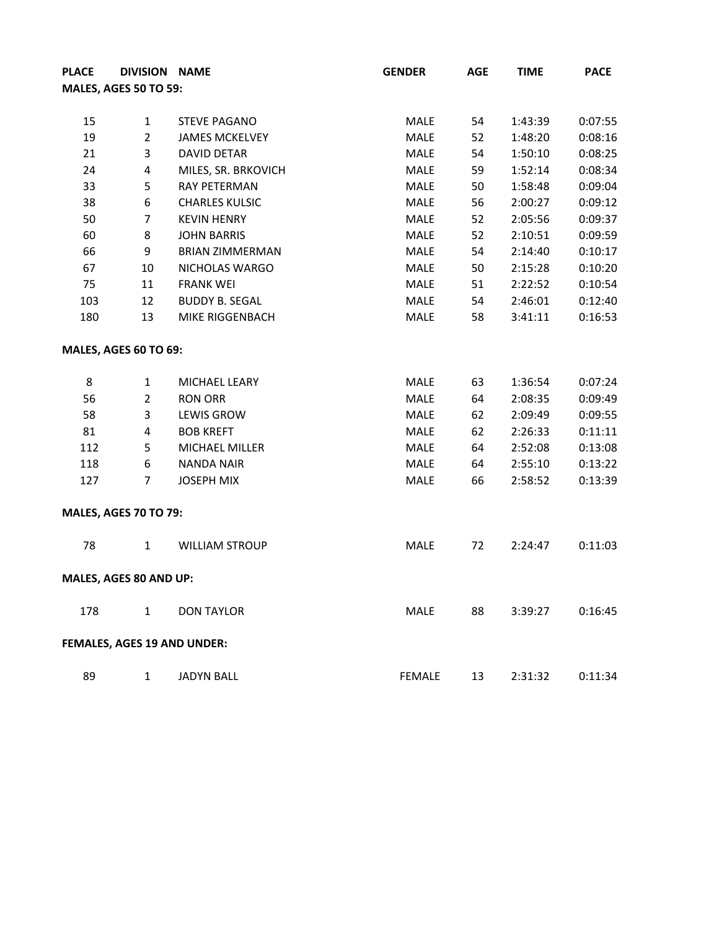| <b>PLACE</b>                 |                         | DIVISION NAME                      | <b>GENDER</b> | <b>AGE</b> | <b>TIME</b> | <b>PACE</b> |
|------------------------------|-------------------------|------------------------------------|---------------|------------|-------------|-------------|
| <b>MALES, AGES 50 TO 59:</b> |                         |                                    |               |            |             |             |
|                              |                         |                                    |               |            |             |             |
| 15                           | $\mathbf{1}$            | <b>STEVE PAGANO</b>                | MALE          | 54         | 1:43:39     | 0:07:55     |
| 19                           | $\overline{2}$          | <b>JAMES MCKELVEY</b>              | <b>MALE</b>   | 52         | 1:48:20     | 0:08:16     |
| 21                           | 3                       | <b>DAVID DETAR</b>                 | <b>MALE</b>   | 54         | 1:50:10     | 0:08:25     |
| 24                           | $\overline{\mathbf{4}}$ | MILES, SR. BRKOVICH                | MALE          | 59         | 1:52:14     | 0:08:34     |
| 33                           | 5                       | RAY PETERMAN                       | <b>MALE</b>   | 50         | 1:58:48     | 0:09:04     |
| 38                           | $\boldsymbol{6}$        | <b>CHARLES KULSIC</b>              | <b>MALE</b>   | 56         | 2:00:27     | 0:09:12     |
| 50                           | $\overline{7}$          | <b>KEVIN HENRY</b>                 | <b>MALE</b>   | 52         | 2:05:56     | 0:09:37     |
| 60                           | 8                       | <b>JOHN BARRIS</b>                 | <b>MALE</b>   | 52         | 2:10:51     | 0:09:59     |
| 66                           | 9                       | <b>BRIAN ZIMMERMAN</b>             | MALE          | 54         | 2:14:40     | 0:10:17     |
| 67                           | 10                      | NICHOLAS WARGO                     | <b>MALE</b>   | 50         | 2:15:28     | 0:10:20     |
| 75                           | 11                      | <b>FRANK WEI</b>                   | MALE          | 51         | 2:22:52     | 0:10:54     |
| 103                          | 12                      | <b>BUDDY B. SEGAL</b>              | MALE          | 54         | 2:46:01     | 0:12:40     |
| 180                          | 13                      | MIKE RIGGENBACH                    | MALE          | 58         | 3:41:11     | 0:16:53     |
| MALES, AGES 60 TO 69:        |                         |                                    |               |            |             |             |
| 8                            | $\mathbf{1}$            | MICHAEL LEARY                      | MALE          | 63         | 1:36:54     | 0:07:24     |
| 56                           | $\overline{2}$          | <b>RON ORR</b>                     | MALE          | 64         | 2:08:35     | 0:09:49     |
| 58                           | 3                       | <b>LEWIS GROW</b>                  | <b>MALE</b>   | 62         | 2:09:49     | 0:09:55     |
| 81                           | $\overline{\mathbf{4}}$ | <b>BOB KREFT</b>                   | MALE          | 62         | 2:26:33     | 0:11:11     |
| 112                          | 5                       | <b>MICHAEL MILLER</b>              | MALE          | 64         | 2:52:08     | 0:13:08     |
| 118                          | 6                       | <b>NANDA NAIR</b>                  | MALE          | 64         | 2:55:10     | 0:13:22     |
| 127                          | $\overline{7}$          | <b>JOSEPH MIX</b>                  | MALE          | 66         | 2:58:52     | 0:13:39     |
| <b>MALES, AGES 70 TO 79:</b> |                         |                                    |               |            |             |             |
| 78                           | $\mathbf{1}$            | <b>WILLIAM STROUP</b>              | MALE          | 72         | 2:24:47     | 0:11:03     |
| MALES, AGES 80 AND UP:       |                         |                                    |               |            |             |             |
| 178                          | $\mathbf{1}$            | <b>DON TAYLOR</b>                  | MALE          | 88         | 3:39:27     | 0:16:45     |
|                              |                         | <b>FEMALES, AGES 19 AND UNDER:</b> |               |            |             |             |
| 89                           | $\mathbf{1}$            | <b>JADYN BALL</b>                  | <b>FEMALE</b> | 13         | 2:31:32     | 0:11:34     |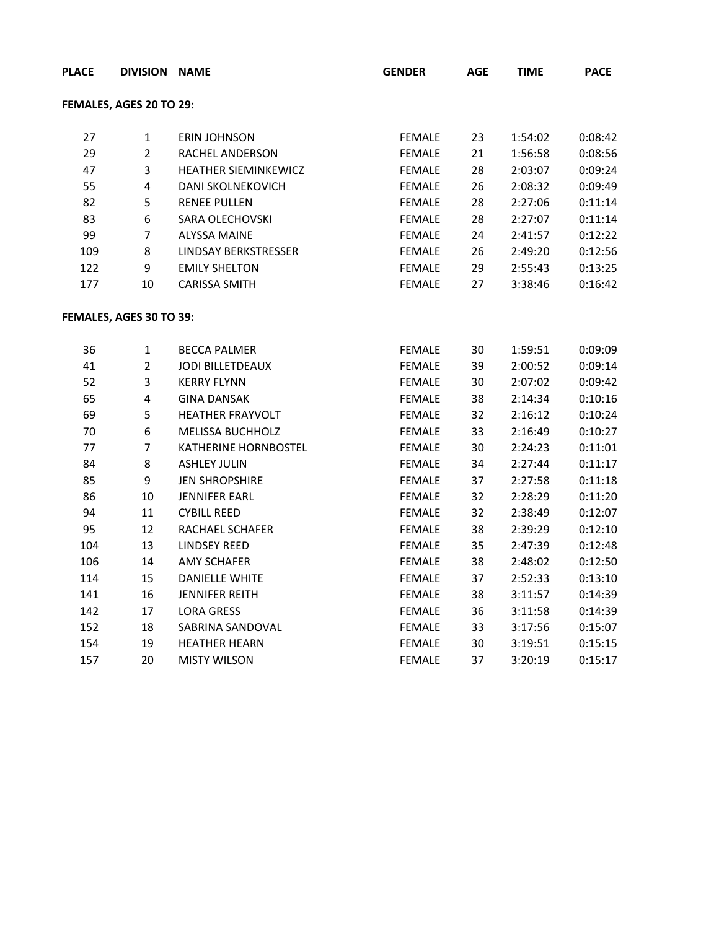| <b>PLACE</b> | DIVISION NAME           |                             | <b>GENDER</b> | <b>AGE</b> | <b>TIME</b> | <b>PACE</b> |
|--------------|-------------------------|-----------------------------|---------------|------------|-------------|-------------|
|              | FEMALES, AGES 20 TO 29: |                             |               |            |             |             |
| 27           | $\mathbf{1}$            | <b>ERIN JOHNSON</b>         | <b>FEMALE</b> | 23         | 1:54:02     | 0:08:42     |
| 29           | $\overline{2}$          | RACHEL ANDERSON             | <b>FEMALE</b> | 21         | 1:56:58     | 0:08:56     |
| 47           | 3                       | <b>HEATHER SIEMINKEWICZ</b> | <b>FEMALE</b> | 28         | 2:03:07     | 0:09:24     |
| 55           | $\overline{\mathbf{4}}$ | DANI SKOLNEKOVICH           | <b>FEMALE</b> | 26         | 2:08:32     | 0:09:49     |
| 82           | 5                       | <b>RENEE PULLEN</b>         | <b>FEMALE</b> | 28         | 2:27:06     | 0:11:14     |
| 83           | 6                       | <b>SARA OLECHOVSKI</b>      | <b>FEMALE</b> | 28         | 2:27:07     | 0:11:14     |
| 99           | $\overline{7}$          | <b>ALYSSA MAINE</b>         | <b>FEMALE</b> | 24         | 2:41:57     | 0:12:22     |
| 109          | 8                       | <b>LINDSAY BERKSTRESSER</b> | <b>FEMALE</b> | 26         | 2:49:20     | 0:12:56     |
| 122          | 9                       | <b>EMILY SHELTON</b>        | FEMALE        | 29         | 2:55:43     | 0:13:25     |
| 177          | 10                      | <b>CARISSA SMITH</b>        | <b>FEMALE</b> | 27         | 3:38:46     | 0:16:42     |
|              | FEMALES, AGES 30 TO 39: |                             |               |            |             |             |
| 36           | $\mathbf{1}$            | <b>BECCA PALMER</b>         | <b>FEMALE</b> | 30         | 1:59:51     | 0:09:09     |
| 41           | $\overline{2}$          | <b>JODI BILLETDEAUX</b>     | <b>FEMALE</b> | 39         | 2:00:52     | 0:09:14     |
| 52           | 3                       | <b>KERRY FLYNN</b>          | <b>FEMALE</b> | 30         | 2:07:02     | 0:09:42     |
| 65           | $\overline{\mathbf{4}}$ | <b>GINA DANSAK</b>          | <b>FEMALE</b> | 38         | 2:14:34     | 0:10:16     |
| 69           | 5                       | <b>HEATHER FRAYVOLT</b>     | <b>FEMALE</b> | 32         | 2:16:12     | 0:10:24     |
| 70           | $\boldsymbol{6}$        | <b>MELISSA BUCHHOLZ</b>     | <b>FEMALE</b> | 33         | 2:16:49     | 0:10:27     |
| 77           | $\overline{7}$          | KATHERINE HORNBOSTEL        | <b>FEMALE</b> | 30         | 2:24:23     | 0:11:01     |
| 84           | 8                       | <b>ASHLEY JULIN</b>         | <b>FEMALE</b> | 34         | 2:27:44     | 0:11:17     |
| 85           | 9                       | <b>JEN SHROPSHIRE</b>       | <b>FEMALE</b> | 37         | 2:27:58     | 0:11:18     |
| 86           | 10                      | <b>JENNIFER EARL</b>        | <b>FEMALE</b> | 32         | 2:28:29     | 0:11:20     |
| 94           | 11                      | <b>CYBILL REED</b>          | <b>FEMALE</b> | 32         | 2:38:49     | 0:12:07     |
| 95           | 12                      | RACHAEL SCHAFER             | <b>FEMALE</b> | 38         | 2:39:29     | 0:12:10     |
| 104          | 13                      | <b>LINDSEY REED</b>         | <b>FEMALE</b> | 35         | 2:47:39     | 0:12:48     |
| 106          | 14                      | <b>AMY SCHAFER</b>          | <b>FEMALE</b> | 38         | 2:48:02     | 0:12:50     |
| 114          | 15                      | DANIELLE WHITE              | <b>FEMALE</b> | 37         | 2:52:33     | 0:13:10     |
| 141          | 16                      | <b>JENNIFER REITH</b>       | <b>FEMALE</b> | 38         | 3:11:57     | 0:14:39     |
| 142          | 17                      | <b>LORA GRESS</b>           | <b>FEMALE</b> | 36         | 3:11:58     | 0:14:39     |
| 152          | 18                      | SABRINA SANDOVAL            | <b>FEMALE</b> | 33         | 3:17:56     | 0:15:07     |
| 154          | 19                      | <b>HEATHER HEARN</b>        | <b>FEMALE</b> | 30         | 3:19:51     | 0:15:15     |
| 157          | 20                      | <b>MISTY WILSON</b>         | <b>FEMALE</b> | 37         | 3:20:19     | 0:15:17     |